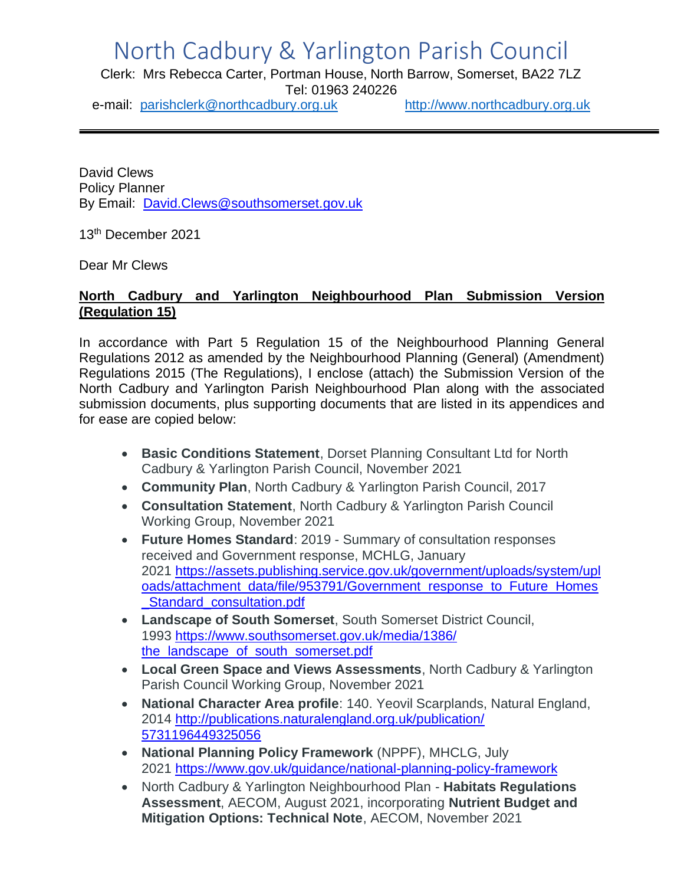## North Cadbury & Yarlington Parish Council

Clerk: Mrs Rebecca Carter, Portman House, North Barrow, Somerset, BA22 7LZ Tel: 01963 240226

e-mail: [parishclerk@northcadbury.org.uk](mailto:parishclerk@northcadbury.org.uk) [http://www.northcadbury.org.uk](http://www.northcadbury.org.uk/)

David Clews Policy Planner By Email: [David.Clews@southsomerset.gov.uk](mailto:David.Clews@southsomerset.gov.uk)

13th December 2021

Dear Mr Clews

## **North Cadbury and Yarlington Neighbourhood Plan Submission Version (Regulation 15)**

In accordance with Part 5 Regulation 15 of the Neighbourhood Planning General Regulations 2012 as amended by the Neighbourhood Planning (General) (Amendment) Regulations 2015 (The Regulations), I enclose (attach) the Submission Version of the North Cadbury and Yarlington Parish Neighbourhood Plan along with the associated submission documents, plus supporting documents that are listed in its appendices and for ease are copied below:

- **Basic Conditions Statement**, Dorset Planning Consultant Ltd for North Cadbury & Yarlington Parish Council, November 2021
- **Community Plan**, North Cadbury & Yarlington Parish Council, 2017
- **Consultation Statement**, North Cadbury & Yarlington Parish Council Working Group, November 2021
- **Future Homes Standard**: 2019 Summary of consultation responses received and Government response, MCHLG, January 2021 [https://assets.publishing.service.gov.uk/government/uploads/system/upl](https://assets.publishing.service.gov.uk/government/uploads/system/uploads/attachment_data/file/953791/Government_response_to_Future_Homes_Standard_consultation.pdf) [oads/attachment\\_data/file/953791/Government\\_response\\_to\\_Future\\_Homes](https://assets.publishing.service.gov.uk/government/uploads/system/uploads/attachment_data/file/953791/Government_response_to_Future_Homes_Standard_consultation.pdf) [\\_Standard\\_consultation.pdf](https://assets.publishing.service.gov.uk/government/uploads/system/uploads/attachment_data/file/953791/Government_response_to_Future_Homes_Standard_consultation.pdf)
- **Landscape of South Somerset**, South Somerset District Council, 1993 [https://www.southsomerset.gov.uk/media/1386/](https://www.southsomerset.gov.uk/media/1386/the_landscape_of_south_somerset.pdf) [the\\_landscape\\_of\\_south\\_somerset.pdf](https://www.southsomerset.gov.uk/media/1386/the_landscape_of_south_somerset.pdf)
- **Local Green Space and Views Assessments**, North Cadbury & Yarlington Parish Council Working Group, November 2021
- **National Character Area profile**: 140. Yeovil Scarplands, Natural England, 2014 [http://publications.naturalengland.org.uk/publication/](http://publications.naturalengland.org.uk/publication/5731196449325056) [5731196449325056](http://publications.naturalengland.org.uk/publication/5731196449325056)
- **National Planning Policy Framework** (NPPF), MHCLG, July 2021 <https://www.gov.uk/guidance/national-planning-policy-framework>
- North Cadbury & Yarlington Neighbourhood Plan **Habitats Regulations Assessment**, AECOM, August 2021, incorporating **Nutrient Budget and Mitigation Options: Technical Note**, AECOM, November 2021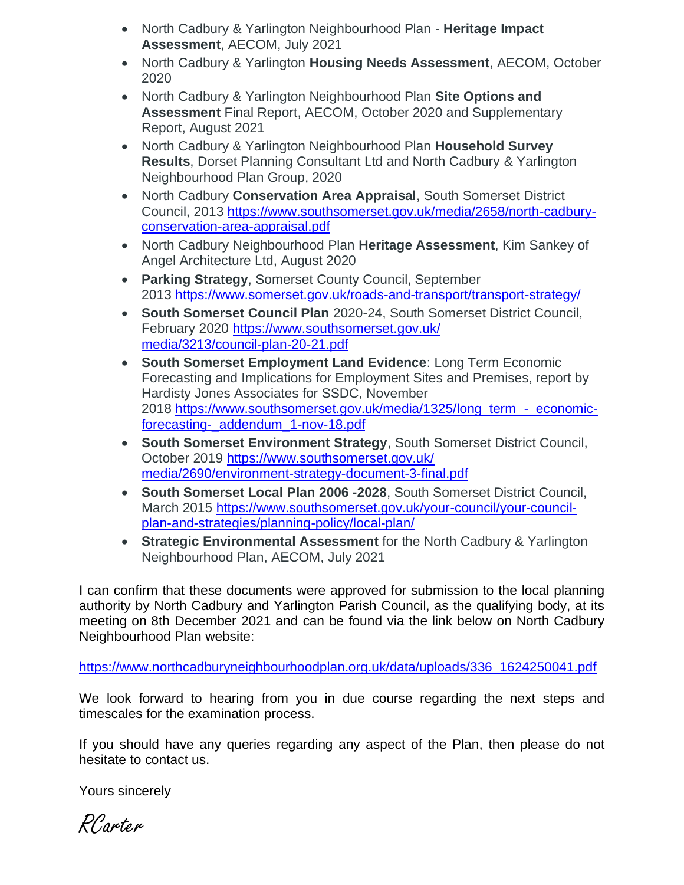- North Cadbury & Yarlington Neighbourhood Plan **Heritage Impact Assessment**, AECOM, July 2021
- North Cadbury & Yarlington **Housing Needs Assessment**, AECOM, October 2020
- North Cadbury & Yarlington Neighbourhood Plan **Site Options and Assessment** Final Report, AECOM, October 2020 and Supplementary Report, August 2021
- North Cadbury & Yarlington Neighbourhood Plan **Household Survey Results**, Dorset Planning Consultant Ltd and North Cadbury & Yarlington Neighbourhood Plan Group, 2020
- North Cadbury **Conservation Area Appraisal**, South Somerset District Council, 2013 [https://www.southsomerset.gov.uk/media/2658/north-cadbury](https://www.southsomerset.gov.uk/media/2658/north-cadbury-conservation-area-appraisal.pdf)[conservation-area-appraisal.pdf](https://www.southsomerset.gov.uk/media/2658/north-cadbury-conservation-area-appraisal.pdf)
- North Cadbury Neighbourhood Plan **Heritage Assessment**, Kim Sankey of Angel Architecture Ltd, August 2020
- **Parking Strategy**, Somerset County Council, September 2013 <https://www.somerset.gov.uk/roads-and-transport/transport-strategy/>
- **South Somerset Council Plan** 2020-24, South Somerset District Council, February 2020 [https://www.southsomerset.gov.uk/](https://www.southsomerset.gov.uk/media/3213/council-plan-20-21.pdf) [media/3213/council-plan-20-21.pdf](https://www.southsomerset.gov.uk/media/3213/council-plan-20-21.pdf)
- **South Somerset Employment Land Evidence**: Long Term Economic Forecasting and Implications for Employment Sites and Premises, report by Hardisty Jones Associates for SSDC, November 2018 [https://www.southsomerset.gov.uk/media/1325/long\\_term\\_-\\_economic](https://www.southsomerset.gov.uk/media/1325/long_term_-_economic-forecasting-_addendum_1-nov-18.pdf)[forecasting-\\_addendum\\_1-nov-18.pdf](https://www.southsomerset.gov.uk/media/1325/long_term_-_economic-forecasting-_addendum_1-nov-18.pdf)
- **South Somerset Environment Strategy**, South Somerset District Council, October 2019 [https://www.southsomerset.gov.uk/](https://www.southsomerset.gov.uk/media/2690/environment-strategy-document-3-final.pdf) [media/2690/environment-strategy-document-3-final.pdf](https://www.southsomerset.gov.uk/media/2690/environment-strategy-document-3-final.pdf)
- **South Somerset Local Plan 2006 -2028**, South Somerset District Council, March 2015 [https://www.southsomerset.gov.uk/your-council/your-council](https://www.southsomerset.gov.uk/your-council/your-council-plan-and-strategies/planning-policy/local-plan/)[plan-and-strategies/planning-policy/local-plan/](https://www.southsomerset.gov.uk/your-council/your-council-plan-and-strategies/planning-policy/local-plan/)
- **Strategic Environmental Assessment** for the North Cadbury & Yarlington Neighbourhood Plan, AECOM, July 2021

I can confirm that these documents were approved for submission to the local planning authority by North Cadbury and Yarlington Parish Council, as the qualifying body, at its meeting on 8th December 2021 and can be found via the link below on North Cadbury Neighbourhood Plan website:

[https://www.northcadburyneighbourhoodplan.org.uk/data/uploads/336\\_1624250041.pdf](https://www.northcadburyneighbourhoodplan.org.uk/data/uploads/336_1624250041.pdf)

We look forward to hearing from you in due course regarding the next steps and timescales for the examination process.

If you should have any queries regarding any aspect of the Plan, then please do not hesitate to contact us.

Yours sincerely

RCarter